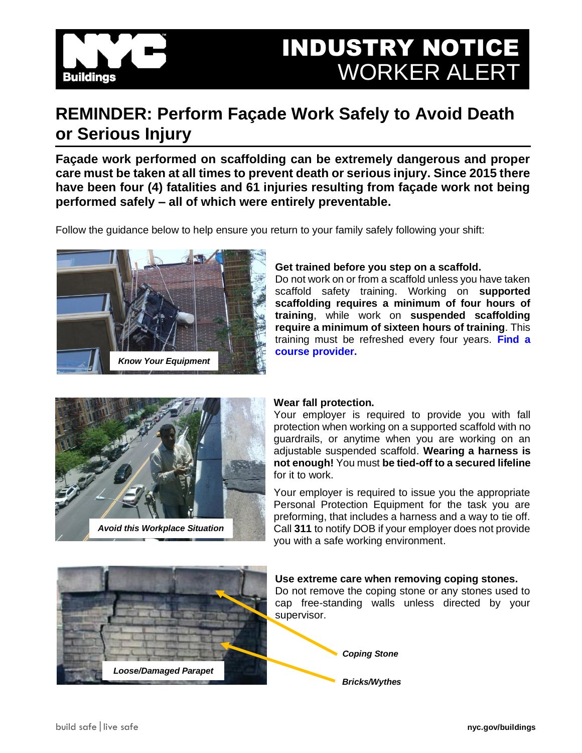

## INDUSTRY NOTICE WORKER ALERT

### **REMINDER: Perform Façade Work Safely to Avoid Death or Serious Injury**

**Façade work performed on scaffolding can be extremely dangerous and proper care must be taken at all times to prevent death or serious injury. Since 2015 there have been four (4) fatalities and 61 injuries resulting from façade work not being performed safely – all of which were entirely preventable.**

Follow the guidance below to help ensure you return to your family safely following your shift:



#### **Get trained before you step on a scaffold.**

Do not work on or from a scaffold unless you have taken scaffold safety training. Working on **supported scaffolding requires a minimum of four hours of training**, while work on **suspended scaffolding require a minimum of sixteen hours of training**. This training must be refreshed every four years. **[Find a](https://www1.nyc.gov/assets/buildings/html/course_providers.html)  [course provider.](https://www1.nyc.gov/assets/buildings/html/course_providers.html)**



#### **Wear fall protection.**

Your employer is required to provide you with fall protection when working on a supported scaffold with no guardrails, or anytime when you are working on an adjustable suspended scaffold. **Wearing a harness is not enough!** You must **be tied-off to a secured lifeline**  for it to work.

Your employer is required to issue you the appropriate Personal Protection Equipment for the task you are preforming, that includes a harness and a way to tie off. Call **311** to notify DOB if your employer does not provide you with a safe working environment.

# *Loose/Damaged Parapet*

#### **Use extreme care when removing coping stones.**

Do not remove the coping stone or any stones used to cap free-standing walls unless directed by your supervisor.

*Coping Stone*

*Bricks/Wythes*